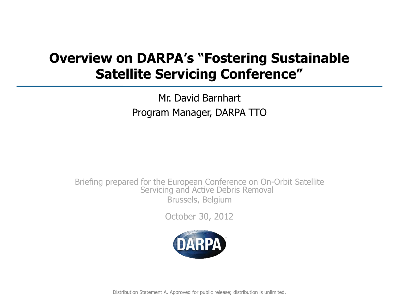# **Overview on DARPA's "Fostering Sustainable Satellite Servicing Conference"**

Mr. David Barnhart Program Manager, DARPA TTO

Briefing prepared for the European Conference on On-Orbit Satellite Servicing and Active Debris Removal Brussels, Belgium

October 30, 2012

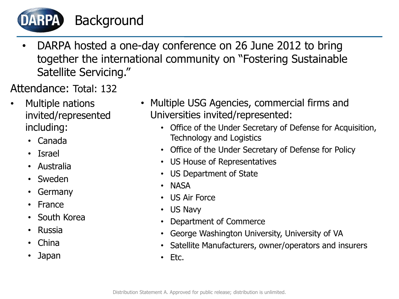Background

• DARPA hosted a one-day conference on 26 June 2012 to bring together the international community on "Fostering Sustainable Satellite Servicing."

Attendance: Total: 132

- Multiple nations invited/represented including:
	- Canada
	- Israel

DARPA

- Australia
- Sweden
- Germany
- France
- South Korea
- Russia
- China
- Japan
- Multiple USG Agencies, commercial firms and Universities invited/represented:
	- Office of the Under Secretary of Defense for Acquisition, Technology and Logistics
	- Office of the Under Secretary of Defense for Policy
	- US House of Representatives
	- US Department of State
	- NASA
	- US Air Force
	- US Navy
	- Department of Commerce
	- George Washington University, University of VA
	- Satellite Manufacturers, owner/operators and insurers
	- Etc.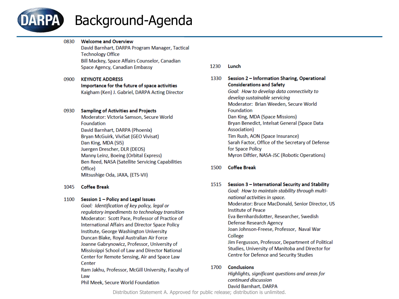

# Background-Agenda

- **Welcome and Overview** 0830 David Barnhart, DARPA Program Manager, Tactical **Technology Office** Bill Mackey, Space Affairs Counselor, Canadian Space Agency, Canadian Embassy
- 0900 **KEYNOTE ADDRESS** Importance for the future of space activities Kaigham (Ken) J. Gabriel, DARPA Acting Director

#### 0930 **Sampling of Activities and Projects**

Moderator: Victoria Samson, Secure World Foundation David Barnhart, DARPA (Phoenix) Bryan McGuirk, ViviSat (GEO Vivisat) Dan King, MDA (SIS) Juergen Drescher, DLR (DEOS) Manny Leinz, Boeing (Orbital Express) Ben Reed, NASA (Satellite Servicing Capabilities Office) Mitsushige Oda, JAXA, (ETS-VII)

#### 1045 **Coffee Break**

#### 1100 Session 1 - Policy and Legal Issues

Goal: Identification of key policy, legal or regulatory impediments to technology transition Moderator: Scott Pace, Professor of Practice of International Affairs and Director Space Policy Institute, George Washington University Duncan Blake, Royal Australian Air Force Joanne Gabrynowicz, Professor, University of Mississippi School of Law and Director National Center for Remote Sensing, Air and Space Law Center

Ram Jakhu, Professor, McGill University, Faculty of Law

#### Phil Meek, Secure World Foundation

- 1230 Lunch
- 1330 Session 2 - Information Sharing, Operational **Considerations and Safety**

Goal: How to develop data connectivity to develop sustainable servicing Moderator: Brian Weeden, Secure World Foundation Dan King, MDA (Space Missions) Bryan Benedict, Intelsat General (Space Data Association) Tim Rush, AON (Space Insurance) Sarah Factor, Office of the Secretary of Defense for Space Policy Myron Diftler, NASA-JSC (Robotic Operations)

#### 1500 **Coffee Break**

- 1515 Session 3 International Security and Stability Goal: How to maintain stability through multinational activities in space. Moderator: Bruce MacDonald, Senior Director, US **Institute of Peace** Eva Bernhardsdotter, Researcher, Swedish Defense Research Agency Joan Johnson-Freese, Professor, Naval War College Jim Fergusson, Professor, Department of Political Studies, University of Manitoba and Director for Centre for Defence and Security Studies
- **Conclusions** 1700

Highlights, significant questions and areas for continued discussion David Barnhart, DARPA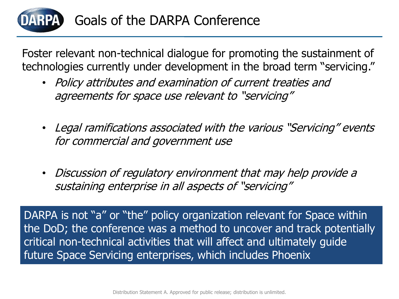

Foster relevant non-technical dialogue for promoting the sustainment of technologies currently under development in the broad term "servicing."

- Policy attributes and examination of current treaties and agreements for space use relevant to "servicing"
- Legal ramifications associated with the various "Servicing" events for commercial and government use
- Discussion of regulatory environment that may help provide a sustaining enterprise in all aspects of "servicing"

DARPA is not "a" or "the" policy organization relevant for Space within the DoD; the conference was a method to uncover and track potentially critical non-technical activities that will affect and ultimately guide future Space Servicing enterprises, which includes Phoenix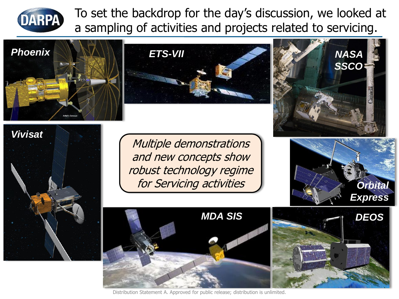

To set the backdrop for the day's discussion, we looked at a sampling of activities and projects related to servicing.

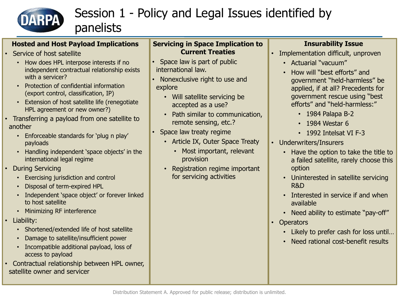

# Session 1 - Policy and Legal Issues identified by

#### **Hosted and Host Payload Implications**

panelists

- Service of host satellite
	- How does HPL interpose interests if no independent contractual relationship exists with a servicer?
	- Protection of confidential information (export control, classification, IP)
	- Extension of host satellite life (renegotiate HPL agreement or new owner?)
- Transferring a payload from one satellite to another
	- Enforceable standards for 'plug n play' payloads
	- Handling independent 'space objects' in the international legal regime
- During Servicing
	- Exercising jurisdiction and control
	- Disposal of term-expired HPL
	- Independent 'space object' or forever linked to host satellite
	- Minimizing RF interference
- Liability:
	- Shortened/extended life of host satellite
	- Damage to satellite/insufficient power
	- Incompatible additional payload, loss of access to payload
- Contractual relationship between HPL owner, satellite owner and servicer

#### **Servicing in Space Implication to Current Treaties**

- Space law is part of public international law.
- Nonexclusive right to use and explore
	- Will satellite servicing be accepted as a use?
	- Path similar to communication, remote sensing, etc.?
- Space law treaty regime
	- Article IX, Outer Space Treaty
		- Most important, relevant provision
	- Registration regime important for servicing activities

### **Insurability Issue**

- Implementation difficult, unproven
	- Actuarial "vacuum"
	- How will "best efforts" and government "held-harmless" be applied, if at all? Precedents for government rescue using "best efforts" and "held-harmless:"
		- 1984 Palapa B-2
		- 1984 Westar 6
		- 1992 Intelsat VI F-3
- Underwriters/Insurers
	- Have the option to take the title to a failed satellite, rarely choose this option
	- Uninterested in satellite servicing R&D
	- Interested in service if and when available
	- Need ability to estimate "pay-off"
- Operators
	- Likely to prefer cash for loss until…
	- Need rational cost-benefit results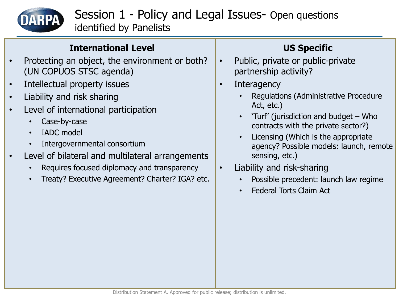

Session 1 - Policy and Legal Issues- Open questions identified by Panelists

### **International Level**

- Protecting an object, the environment or both? (UN COPUOS STSC agenda)
- Intellectual property issues
- Liability and risk sharing
- Level of international participation
	- Case-by-case
	- IADC model
	- Intergovernmental consortium
- Level of bilateral and multilateral arrangements
	- Requires focused diplomacy and transparency
	- Treaty? Executive Agreement? Charter? IGA? etc.

## **US Specific**

- Public, private or public-private partnership activity?
- Interagency
	- Regulations (Administrative Procedure Act, etc.)
	- 'Turf' (jurisdiction and budget Who contracts with the private sector?)
	- Licensing (Which is the appropriate agency? Possible models: launch, remote sensing, etc.)
- Liability and risk-sharing
	- Possible precedent: launch law regime
	- Federal Torts Claim Act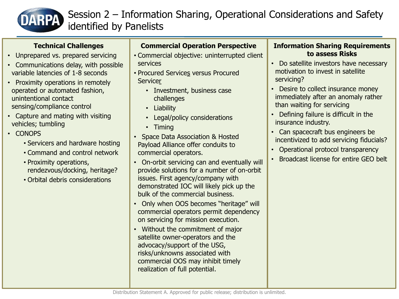

## Session 2 – Information Sharing, Operational Considerations and Safety identified by Panelists

### **Technical Challenges**

- Unprepared vs. prepared servicing
- Communications delay, with possible variable latencies of 1-8 seconds
- Proximity operations in remotely operated or automated fashion, unintentional contact sensing/compliance control
- Capture and mating with visiting vehicles; tumbling
- CONOPS
	- Servicers and hardware hosting
	- Command and control network
	- Proximity operations, rendezvous/docking, heritage?
	- Orbital debris considerations

### **Commercial Operation Perspective**

- Commercial objective: uninterrupted client services
- Procured Services versus Procured **Servicer** 
	- Investment, business case challenges
	- Liability
	- Legal/policy considerations
	- Timing
- Space Data Association & Hosted Payload Alliance offer conduits to commercial operators.
- On-orbit servicing can and eventually will provide solutions for a number of on-orbit issues. First agency/company with demonstrated IOC will likely pick up the bulk of the commercial business.
- Only when OOS becomes "heritage" will commercial operators permit dependency on servicing for mission execution.
- Without the commitment of major satellite owner-operators and the advocacy/support of the USG, risks/unknowns associated with commercial OOS may inhibit timely realization of full potential.

### **Information Sharing Requirements to assess Risks**

- Do satellite investors have necessary motivation to invest in satellite servicing?
- Desire to collect insurance money immediately after an anomaly rather than waiting for servicing
- Defining failure is difficult in the insurance industry.
- Can spacecraft bus engineers be incentivized to add servicing fiducials?
- Operational protocol transparency
- Broadcast license for entire GEO belt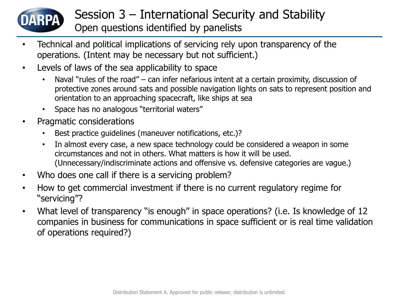

## Session 3 – International Security and Stability Open questions identified by panelists

- Technical and political implications of servicing rely upon transparency of the operations. (Intent may be necessary but not sufficient.)
- Levels of laws of the sea applicability to space
	- Naval "rules of the road" can infer nefarious intent at a certain proximity, discussion of protective zones around sats and possible navigation lights on sats to represent position and orientation to an approaching spacecraft, like ships at sea
	- Space has no analogous "territorial waters"
- Pragmatic considerations
	- Best practice quidelines (maneuver notifications, etc.)?
	- In almost every case, a new space technology could be considered a weapon in some circumstances and not in others. What matters is how it will be used. (Unnecessary/indiscriminate actions and offensive vs. defensive categories are vague.)
- Who does one call if there is a servicing problem?
- How to get commercial investment if there is no current regulatory regime for "servicing"?
- What level of transparency "is enough" in space operations? (i.e. Is knowledge of 12 companies in business for communications in space sufficient or is real time validation of operations required?)